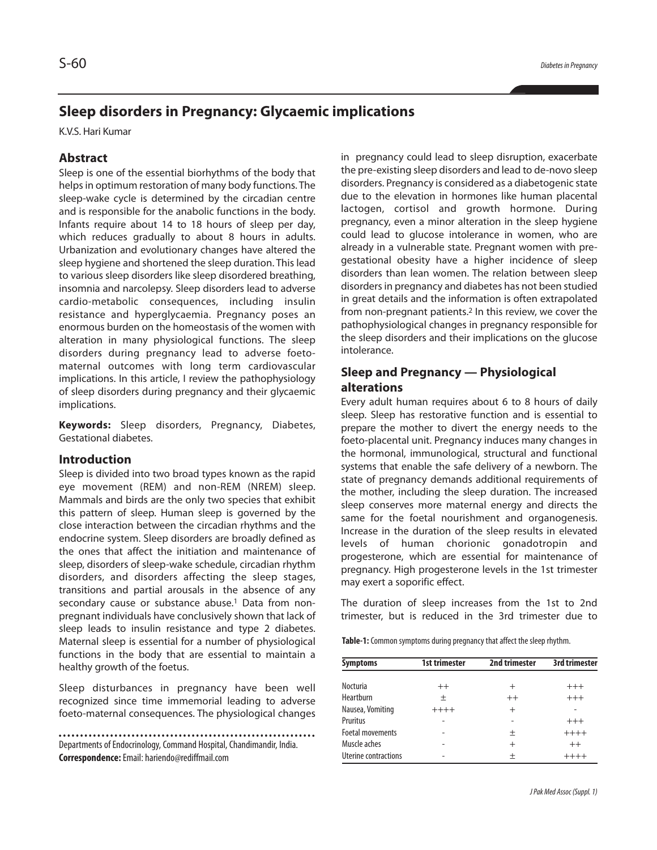# **Sleep disorders in Pregnancy: Glycaemic implications**

K.V.S. Hari Kumar

### **Abstract**

Sleep is one of the essential biorhythms of the body that helps in optimum restoration of many body functions. The sleep-wake cycle is determined by the circadian centre and is responsible for the anabolic functions in the body. Infants require about 14 to 18 hours of sleep per day, which reduces gradually to about 8 hours in adults. Urbanization and evolutionary changes have altered the sleep hygiene and shortened the sleep duration. This lead to various sleep disorders like sleep disordered breathing, insomnia and narcolepsy. Sleep disorders lead to adverse cardio-metabolic consequences, including insulin resistance and hyperglycaemia. Pregnancy poses an enormous burden on the homeostasis of the women with alteration in many physiological functions. The sleep disorders during pregnancy lead to adverse foetomaternal outcomes with long term cardiovascular implications. In this article, I review the pathophysiology of sleep disorders during pregnancy and their glycaemic implications.

**Keywords:** Sleep disorders, Pregnancy, Diabetes, Gestational diabetes.

#### **Introduction**

Sleep is divided into two broad types known as the rapid eye movement (REM) and non-REM (NREM) sleep. Mammals and birds are the only two species that exhibit this pattern of sleep. Human sleep is governed by the close interaction between the circadian rhythms and the endocrine system. Sleep disorders are broadly defined as the ones that affect the initiation and maintenance of sleep, disorders of sleep-wake schedule, circadian rhythm disorders, and disorders affecting the sleep stages, transitions and partial arousals in the absence of any secondary cause or substance abuse. <sup>1</sup> Data from nonpregnant individuals have conclusively shown that lack of sleep leads to insulin resistance and type 2 diabetes. Maternal sleep is essential for a number of physiological functions in the body that are essential to maintain a healthy growth of the foetus.

Sleep disturbances in pregnancy have been well recognized since time immemorial leading to adverse foeto-maternal consequences. The physiological changes

Departments of Endocrinology, Command Hospital, Chandimandir, India. **Correspondence:**Email: hariendo@rediffmail.com

in pregnancy could lead to sleep disruption, exacerbate the pre-existing sleep disorders and lead to de-novo sleep disorders. Pregnancy is considered as a diabetogenic state due to the elevation in hormones like human placental lactogen, cortisol and growth hormone. During pregnancy, even a minor alteration in the sleep hygiene could lead to glucose intolerance in women, who are already in a vulnerable state. Pregnant women with pregestational obesity have a higher incidence of sleep disorders than lean women. The relation between sleep disordersin pregnancy and diabetes has not been studied in great details and the information is often extrapolated from non-pregnant patients. <sup>2</sup> In this review, we cover the pathophysiological changes in pregnancy responsible for the sleep disorders and their implications on the glucose intolerance.

### **Sleep and Pregnancy — Physiological alterations**

Every adult human requires about 6 to 8 hours of daily sleep. Sleep has restorative function and is essential to prepare the mother to divert the energy needs to the foeto-placental unit. Pregnancy induces many changes in the hormonal, immunological, structural and functional systems that enable the safe delivery of a newborn. The state of pregnancy demands additional requirements of the mother, including the sleep duration. The increased sleep conserves more maternal energy and directs the same for the foetal nourishment and organogenesis. Increase in the duration of the sleep results in elevated levels of human chorionic gonadotropin and progesterone, which are essential for maintenance of pregnancy. High progesterone levels in the 1st trimester may exert a soporific effect.

The duration of sleep increases from the 1st to 2nd trimester, but is reduced in the 3rd trimester due to

**Table-1:** Common symptoms during pregnancy that affect the sleep rhythm.

| <b>Symptoms</b>         | 1st trimester | 2nd trimester | 3rd trimester |
|-------------------------|---------------|---------------|---------------|
| <b>Nocturia</b>         |               |               |               |
|                         | $++$          | $^{+}$        | $^{+++}$      |
| Heartburn               | 土             | $++$          | $+++$         |
| Nausea, Vomiting        | $+++++$       | $^{+}$        |               |
| Pruritus                |               |               | $+++$         |
| <b>Foetal movements</b> |               | 土             | $+++++$       |
| Muscle aches            |               | $^{+}$        | $++$          |
| Uterine contractions    |               | 土             | $++++$        |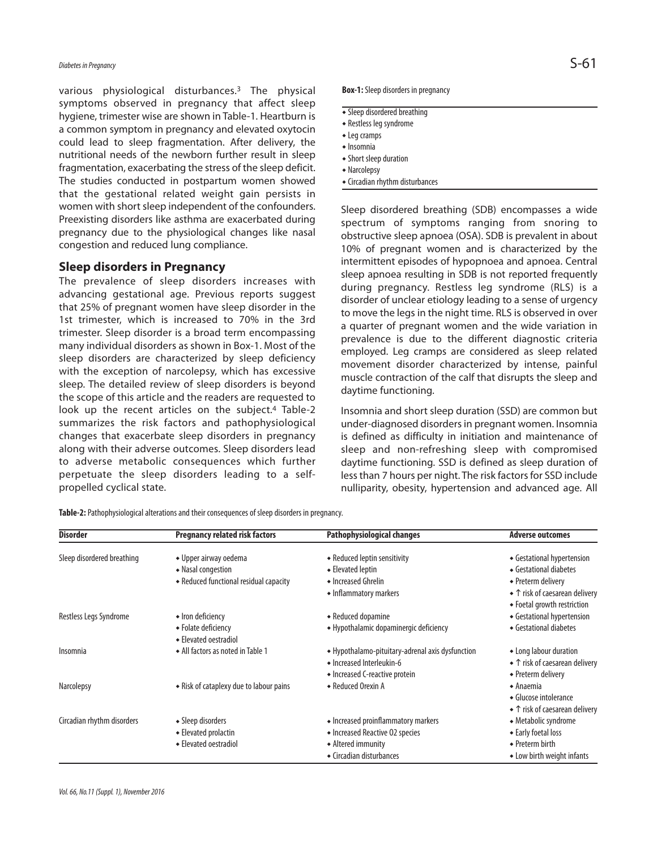## *Diabetes inPregnancy* S-61

various physiological disturbances. <sup>3</sup> The physical symptoms observed in pregnancy that affect sleep hygiene, trimester wise are shown in Table-1. Heartburn is a common symptom in pregnancy and elevated oxytocin could lead to sleep fragmentation. After delivery, the nutritional needs of the newborn further result in sleep fragmentation, exacerbating the stress of the sleep deficit. The studies conducted in postpartum women showed that the gestational related weight gain persists in women with short sleep independent of the confounders. Preexisting disorders like asthma are exacerbated during pregnancy due to the physiological changes like nasal congestion and reduced lung compliance.

#### **Sleep disorders in Pregnancy**

The prevalence of sleep disorders increases with advancing gestational age. Previous reports suggest that 25% of pregnant women have sleep disorder in the 1st trimester, which is increased to 70% in the 3rd trimester. Sleep disorder is a broad term encompassing many individual disorders as shown in Box-1. Most of the sleep disorders are characterized by sleep deficiency with the exception of narcolepsy, which has excessive sleep. The detailed review of sleep disorders is beyond the scope of this article and the readers are requested to look up the recent articles on the subject.<sup>4</sup> Table-2 summarizes the risk factors and pathophysiological changes that exacerbate sleep disorders in pregnancy along with their adverse outcomes. Sleep disorders lead to adverse metabolic consequences which further perpetuate the sleep disorders leading to a selfpropelled cyclical state.

**Box-1:** Sleep disorders in pregnancy

- $\overline{\bullet}$  Sleep disordered breathing
- Restless leg syndrome
- $\bullet$  Leg cramps
- $\triangle$ Insomnia
- Short sleep duration
- Narcolepsy
- Circadian rhythm disturbances

Sleep disordered breathing (SDB) encompasses a wide spectrum of symptoms ranging from snoring to obstructive sleep apnoea (OSA). SDB is prevalent in about 10% of pregnant women and is characterized by the intermittent episodes of hypopnoea and apnoea. Central sleep apnoea resulting in SDB is not reported frequently during pregnancy. Restless leg syndrome (RLS) is a disorder of unclear etiology leading to a sense of urgency to move the legs in the night time. RLS is observed in over a quarter of pregnant women and the wide variation in prevalence is due to the different diagnostic criteria employed. Leg cramps are considered as sleep related movement disorder characterized by intense, painful muscle contraction of the calf that disrupts the sleep and daytime functioning.

Insomnia and short sleep duration (SSD) are common but under-diagnosed disorders in pregnant women. Insomnia is defined as difficulty in initiation and maintenance of sleep and non-refreshing sleep with compromised daytime functioning. SSD is defined as sleep duration of less than 7 hours per night. The risk factors for SSD include nulliparity, obesity, hypertension and advanced age. All

**Table-2:** Pathophysiological alterations and their consequences of sleep disorders in pregnancy.

| <b>Disorder</b>            | <b>Pregnancy related risk factors</b>        | Pathophysiological changes                                                                                      | <b>Adverse outcomes</b>                                                        |
|----------------------------|----------------------------------------------|-----------------------------------------------------------------------------------------------------------------|--------------------------------------------------------------------------------|
| Sleep disordered breathing | • Upper airway oedema                        | • Reduced leptin sensitivity                                                                                    | • Gestational hypertension                                                     |
|                            | • Nasal congestion                           | • Elevated leptin                                                                                               | • Gestational diabetes                                                         |
|                            | • Reduced functional residual capacity       | • Increased Ghrelin                                                                                             | • Preterm delivery                                                             |
|                            |                                              | • Inflammatory markers                                                                                          | ◆ ↑ risk of caesarean delivery<br>• Foetal growth restriction                  |
| Restless Legs Syndrome     | • Iron deficiency                            | • Reduced dopamine                                                                                              | • Gestational hypertension                                                     |
|                            | ◆ Folate deficiency<br>← Elevated oestradiol | • Hypothalamic dopaminergic deficiency                                                                          | Gestational diabetes                                                           |
| Insomnia                   | • All factors as noted in Table 1            | • Hypothalamo-pituitary-adrenal axis dysfunction<br>• Increased Interleukin-6<br>• Increased C-reactive protein | • Long labour duration<br>◆ ↑ risk of caesarean delivery<br>• Preterm delivery |
| <b>Narcolepsy</b>          | • Risk of cataplexy due to labour pains      | • Reduced Orexin A                                                                                              | $\triangle$ Anaemia<br>• Glucose intolerance<br>◆ ↑ risk of caesarean delivery |
| Circadian rhythm disorders | • Sleep disorders                            | • Increased proinflammatory markers                                                                             | • Metabolic syndrome                                                           |
|                            | • Elevated prolactin                         | • Increased Reactive 02 species                                                                                 | ◆ Early foetal loss                                                            |
|                            | ◆ Elevated oestradiol                        | • Altered immunity                                                                                              | • Preterm birth                                                                |
|                            |                                              | • Circadian disturbances                                                                                        | • Low birth weight infants                                                     |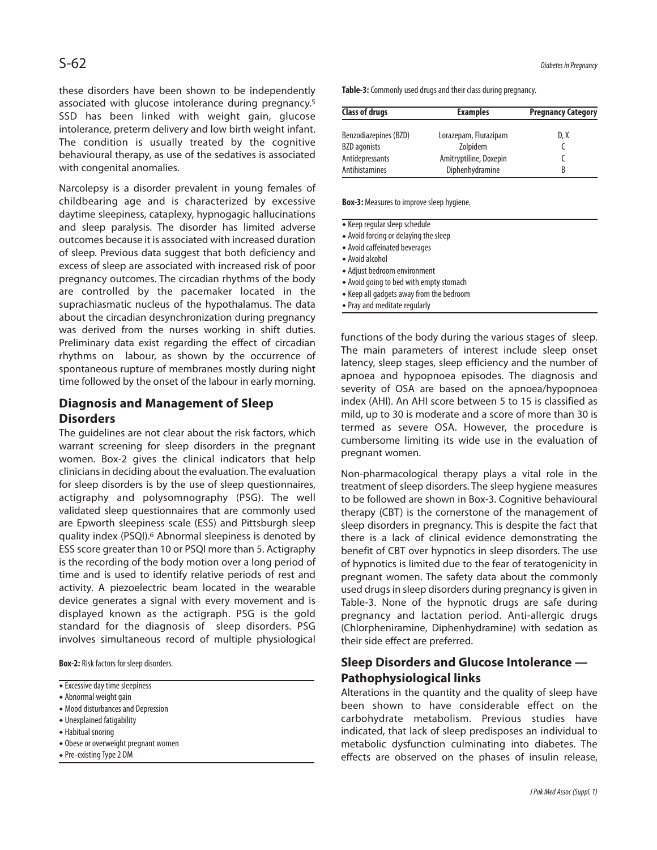these disorders have been shown to be independently associated with glucose intolerance during pregnancy. 5 SSD has been linked with weight gain, glucose intolerance, preterm delivery and low birth weight infant. The condition is usually treated by the cognitive behavioural therapy, as use of the sedatives is associated with congenital anomalies.

Narcolepsy is a disorder prevalent in young females of childbearing age and is characterized by excessive daytime sleepiness, cataplexy, hypnogagic hallucinations and sleep paralysis. The disorder has limited adverse outcomes because it is associated with increased duration of sleep. Previous data suggest that both deficiency and excess of sleep are associated with increased risk of poor pregnancy outcomes. The circadian rhythms of the body are controlled by the pacemaker located in the suprachiasmatic nucleus of the hypothalamus. The data about the circadian desynchronization during pregnancy was derived from the nurses working in shift duties. Preliminary data exist regarding the effect of circadian rhythms on labour, as shown by the occurrence of spontaneous rupture of membranes mostly during night time followed by the onset of the labour in early morning.

### **Diagnosis and Management of Sleep Disorders**

The guidelines are not clear about the risk factors, which warrant screening for sleep disorders in the pregnant women. Box-2 gives the clinical indicators that help clinicians in deciding about the evaluation. The evaluation for sleep disorders is by the use of sleep questionnaires, actigraphy and polysomnography (PSG). The well validated sleep questionnaires that are commonly used are Epworth sleepiness scale (ESS) and Pittsburgh sleep quality index (PSQI). <sup>6</sup> Abnormal sleepiness is denoted by ESS score greater than 10 or PSQI more than 5. Actigraphy is the recording of the body motion over a long period of time and is used to identify relative periods of rest and activity. A piezoelectric beam located in the wearable device generates a signal with every movement and is displayed known as the actigraph. PSG is the gold standard for the diagnosis of sleep disorders. PSG involves simultaneous record of multiple physiological

**Box-2:** Risk factors for sleep disorders.

- Excessive day time sleepiness
- $\bullet$  Abnormal weight gain
- Mood disturbances and Depression
- $\bullet$  Unexplained fatigability
- Habitual snoring
- Obese or overweight pregnant women
- Pre-existing Type 2 DM

S-62 *Diabetes inPregnancy*

Table-3: Commonly used drugs and their class during pregnancy.

| <b>Class of drugs</b> | <b>Examples</b>        | <b>Pregnancy Category</b> |  |
|-----------------------|------------------------|---------------------------|--|
| Benzodiazepines (BZD) | Lorazepam, Flurazipam  | D, X                      |  |
| <b>BZD</b> agonists   | Zolpidem               |                           |  |
| Antidepressants       | Amitryptiline, Doxepin |                           |  |
| Antihistamines        | Diphenhydramine        | B                         |  |

**Box-3:** Measures to improve sleep hygiene.

- **Keep regular sleep schedule**
- $\triangle$  Avoid forcing or delaying the sleep
- Avoid caffeinated beverages
- Avoidalcohol
- $\bullet$  Adjust bedroom environment
- Avoid going to bed with empty stomach
- $\bullet$  Keep all gadgets away from the bedroom
- $\triangle$  Pray and meditate regularly

functions of the body during the various stages of sleep. The main parameters of interest include sleep onset latency, sleep stages, sleep efficiency and the number of apnoea and hypopnoea episodes. The diagnosis and severity of OSA are based on the apnoea/hypopnoea index (AHI). An AHI score between 5 to 15 is classified as mild, up to 30 is moderate and a score of more than 30 is termed as severe OSA. However, the procedure is cumbersome limiting its wide use in the evaluation of pregnant women.

Non-pharmacological therapy plays a vital role in the treatment of sleep disorders. The sleep hygiene measures to be followed are shown in Box-3. Cognitive behavioural therapy (CBT) is the cornerstone of the management of sleep disorders in pregnancy. This is despite the fact that there is a lack of clinical evidence demonstrating the benefit of CBT over hypnotics in sleep disorders. The use of hypnotics is limited due to the fear of teratogenicity in pregnant women. The safety data about the commonly used drugs in sleep disorders during pregnancy is given in Table-3. None of the hypnotic drugs are safe during pregnancy and lactation period. Anti-allergic drugs (Chlorpheniramine, Diphenhydramine) with sedation as their side effect are preferred.

## **Sleep Disorders and Glucose Intolerance — Pathophysiological links**

Alterations in the quantity and the quality of sleep have been shown to have considerable effect on the carbohydrate metabolism. Previous studies have indicated, that lack of sleep predisposes an individual to metabolic dysfunction culminating into diabetes. The effects are observed on the phases of insulin release,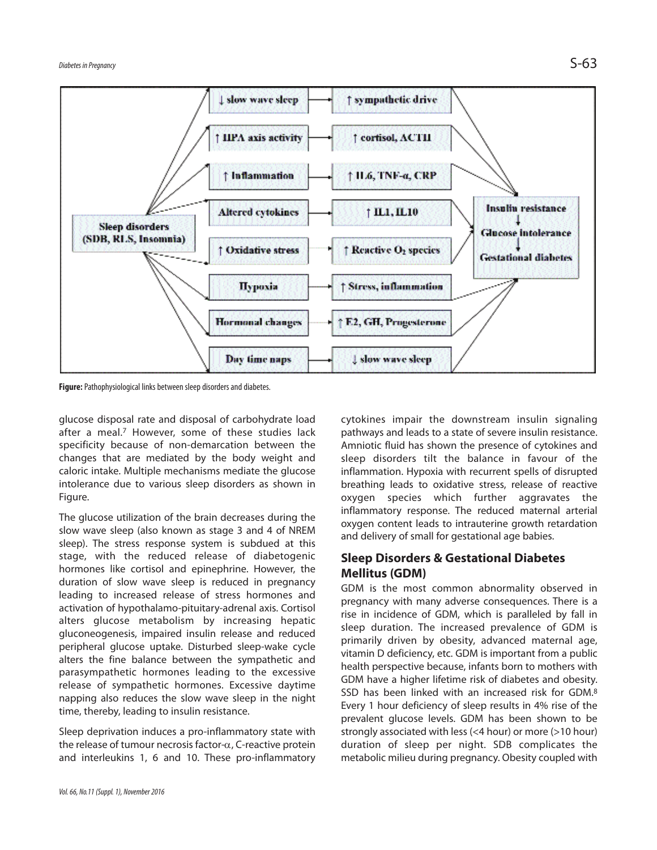

**Figure:** Pathophysiological links between sleep disorders and diabetes.

glucose disposal rate and disposal of carbohydrate load after a meal. <sup>7</sup> However, some of these studies lack specificity because of non-demarcation between the changes that are mediated by the body weight and caloric intake. Multiple mechanisms mediate the glucose intolerance due to various sleep disorders as shown in Figure.

The glucose utilization of the brain decreases during the slow wave sleep (also known as stage 3 and 4 of NREM sleep). The stress response system is subdued at this stage, with the reduced release of diabetogenic hormones like cortisol and epinephrine. However, the duration of slow wave sleep is reduced in pregnancy leading to increased release of stress hormones and activation of hypothalamo-pituitary-adrenal axis. Cortisol alters glucose metabolism by increasing hepatic gluconeogenesis, impaired insulin release and reduced peripheral glucose uptake. Disturbed sleep-wake cycle alters the fine balance between the sympathetic and parasympathetic hormones leading to the excessive release of sympathetic hormones. Excessive daytime napping also reduces the slow wave sleep in the night time, thereby, leading to insulin resistance.

Sleep deprivation induces a pro-inflammatory state with the release of tumour necrosis factor- $\alpha$ , C-reactive protein and interleukins 1, 6 and 10. These pro-inflammatory

*Vol.66, No.11(Suppl.1), November2016*

cytokines impair the downstream insulin signaling pathways and leads to a state of severe insulin resistance. Amniotic fluid has shown the presence of cytokines and sleep disorders tilt the balance in favour of the inflammation. Hypoxia with recurrent spells of disrupted breathing leads to oxidative stress, release of reactive oxygen species which further aggravates the inflammatory response. The reduced maternal arterial oxygen content leads to intrauterine growth retardation and delivery of small for gestational age babies.

#### **Sleep Disorders & Gestational Diabetes Mellitus (GDM)**

GDM is the most common abnormality observed in pregnancy with many adverse consequences. There is a rise in incidence of GDM, which is paralleled by fall in sleep duration. The increased prevalence of GDM is primarily driven by obesity, advanced maternal age, vitamin D deficiency, etc. GDM is important from a public health perspective because, infants born to mothers with GDM have a higher lifetime risk of diabetes and obesity. SSD has been linked with an increased risk for GDM.<sup>8</sup> Every 1 hour deficiency of sleep results in 4% rise of the prevalent glucose levels. GDM has been shown to be strongly associated with less (<4 hour) or more (>10 hour) duration of sleep per night. SDB complicates the metabolic milieu during pregnancy. Obesity coupled with